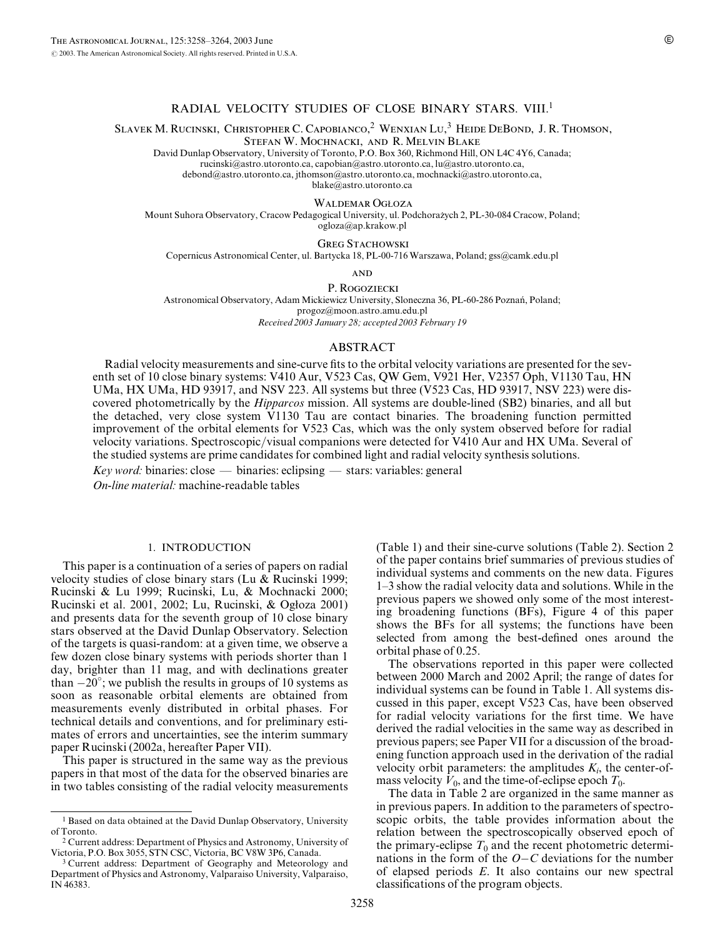# RADIAL VELOCITY STUDIES OF CLOSE BINARY STARS. VIII.<sup>1</sup>

SLAVEK M. RUCINSKI, CHRISTOPHER C. CAPOBIANCO,<sup>2</sup> WENXIAN LU,<sup>3</sup> HEIDE DEBOND, J. R. THOMSON,

Stefan W. Mochnacki, and R. Melvin Blake

David Dunlap Observatory, University of Toronto, P.O. Box 360, Richmond Hill, ON L4C 4Y6, Canada; rucinski@astro.utoronto.ca, capobian@astro.utoronto.ca, lu@astro.utoronto.ca, debond@astro.utoronto.ca, jthomson@astro.utoronto.ca, mochnacki@astro.utoronto.ca,

blake@astro.utoronto.ca

WALDEMAR OGŁOZA

Mount Suhora Observatory, Cracow Pedagogical University, ul. Podchoraz˙ych 2, PL-30-084 Cracow, Poland; ogloza@ap.krakow.pl

**GREG STACHOWSKI** 

Copernicus Astronomical Center, ul. Bartycka 18, PL-00-716 Warszawa, Poland; gss@camk.edu.pl

**AND** 

P. Rogoziecki Astronomical Observatory, Adam Mickiewicz University, Sloneczna 36, PL-60-286 Poznan´, Poland; progoz@moon.astro.amu.edu.pl

Received 2003 January 28; accepted 2003 February 19

#### ABSTRACT

Radial velocity measurements and sine-curve fits to the orbital velocity variations are presented for the seventh set of 10 close binary systems: V410 Aur, V523 Cas, QW Gem, V921 Her, V2357 Oph, V1130 Tau, HN UMa, HX UMa, HD 93917, and NSV 223. All systems but three (V523 Cas, HD 93917, NSV 223) were discovered photometrically by the *Hipparcos* mission. All systems are double-lined (SB2) binaries, and all but the detached, very close system V1130 Tau are contact binaries. The broadening function permitted improvement of the orbital elements for V523 Cas, which was the only system observed before for radial velocity variations. Spectroscopic/visual companions were detected for V410 Aur and HX UMa. Several of the studied systems are prime candidates for combined light and radial velocity synthesis solutions.

 $Key word: binaries: close — binaries: eclipsing — stars: variables: general$ 

On-line material: machine-readable tables

# 1. INTRODUCTION

This paper is a continuation of a series of papers on radial velocity studies of close binary stars (Lu & Rucinski 1999; Rucinski & Lu 1999; Rucinski, Lu, & Mochnacki 2000; Rucinski et al. 2001, 2002; Lu, Rucinski, & Ogłoza 2001) and presents data for the seventh group of 10 close binary stars observed at the David Dunlap Observatory. Selection of the targets is quasi-random: at a given time, we observe a few dozen close binary systems with periods shorter than 1 day, brighter than 11 mag, and with declinations greater than  $-20^\circ$ ; we publish the results in groups of 10 systems as soon as reasonable orbital elements are obtained from measurements evenly distributed in orbital phases. For technical details and conventions, and for preliminary estimates of errors and uncertainties, see the interim summary paper Rucinski (2002a, hereafter Paper VII).

This paper is structured in the same way as the previous papers in that most of the data for the observed binaries are in two tables consisting of the radial velocity measurements (Table 1) and their sine-curve solutions (Table 2). Section 2 of the paper contains brief summaries of previous studies of individual systems and comments on the new data. Figures 1–3 show the radial velocity data and solutions. While in the previous papers we showed only some of the most interesting broadening functions (BFs), Figure 4 of this paper shows the BFs for all systems; the functions have been selected from among the best-defined ones around the orbital phase of 0.25.

The observations reported in this paper were collected between 2000 March and 2002 April; the range of dates for individual systems can be found in Table 1. All systems discussed in this paper, except V523 Cas, have been observed for radial velocity variations for the first time. We have derived the radial velocities in the same way as described in previous papers; see Paper VII for a discussion of the broadening function approach used in the derivation of the radial velocity orbit parameters: the amplitudes  $K_i$ , the center-ofmass velocity  $V_0$ , and the time-of-eclipse epoch  $T_0$ .

The data in Table 2 are organized in the same manner as in previous papers. In addition to the parameters of spectroscopic orbits, the table provides information about the relation between the spectroscopically observed epoch of the primary-eclipse  $T_0$  and the recent photometric determinations in the form of the  $O-C$  deviations for the number of elapsed periods E. It also contains our new spectral classifications of the program objects.

<sup>&</sup>lt;sup>1</sup> Based on data obtained at the David Dunlap Observatory, University of Toronto.

<sup>2</sup> Current address: Department of Physics and Astronomy, University of Victoria, P.O. Box 3055, STN CSC, Victoria, BC V8W 3P6, Canada.

<sup>&</sup>lt;sup>3</sup> Current address: Department of Geography and Meteorology and Department of Physics and Astronomy, Valparaiso University, Valparaiso, IN 46383.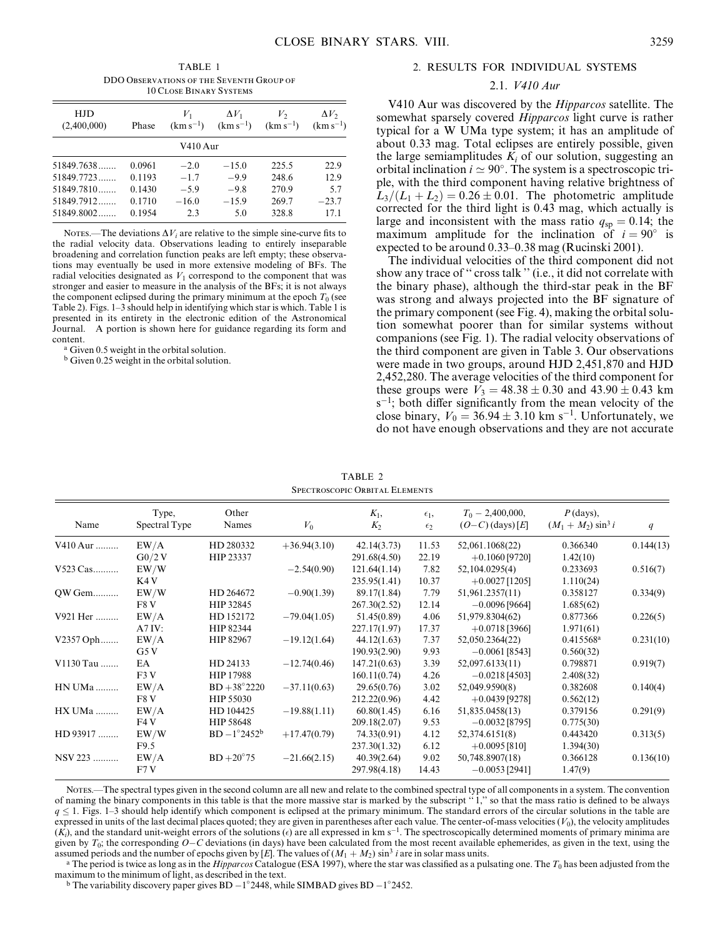TABLE 1 DDO Observations of the Seventh Group of 10 Close Binary Systems

| HJD<br>(2,400,000)<br>Phase |        | $V_1$<br>$(km s^{-1})$ | $\Delta V_1$<br>$(km s^{-1})$ | V,<br>$(km s^{-1})$ | $\Delta V_2$<br>$(km s^{-1})$ |  |
|-----------------------------|--------|------------------------|-------------------------------|---------------------|-------------------------------|--|
|                             |        | V410 Aur               |                               |                     |                               |  |
| 51849.7638                  | 0.0961 | $-2.0$                 | $-15.0$                       | 225.5               | 22.9                          |  |
| $51849.7723$                | 0.1193 | $-1.7$                 | $-99$                         | 248.6               | 12.9                          |  |
| $51849.7810$                | 0.1430 | $-5.9$                 | $-9.8$                        | 270.9               | 5.7                           |  |
| $51849.7912$                | 0.1710 | $-16.0$                | $-15.9$                       | 269.7               | $-23.7$                       |  |
| $51849.8002$                | 0.1954 | 2.3                    | 5.0                           | 328.8               | 171                           |  |

NOTES.—The deviations  $\Delta V_i$  are relative to the simple sine-curve fits to the radial velocity data. Observations leading to entirely inseparable broadening and correlation function peaks are left empty; these observations may eventually be used in more extensive modeling of BFs. The radial velocities designated as  $V_1$  correspond to the component that was stronger and easier to measure in the analysis of the BFs; it is not always the component eclipsed during the primary minimum at the epoch  $T_0$  (see Table 2). Figs. 1–3 should help in identifying which star is which. Table 1 is presented in its entirety in the electronic edition of the Astronomical Journal. A portion is shown here for guidance regarding its form and content.

<sup>a</sup> Given 0.5 weight in the orbital solution.

<sup>b</sup> Given 0.25 weight in the orbital solution.

#### 2. RESULTS FOR INDIVIDUAL SYSTEMS

### 2.1. V410 Aur

V410 Aur was discovered by the Hipparcos satellite. The somewhat sparsely covered Hipparcos light curve is rather typical for a W UMa type system; it has an amplitude of about 0.33 mag. Total eclipses are entirely possible, given the large semiamplitudes  $K_i$  of our solution, suggesting an orbital inclination  $i \approx 90^\circ$ . The system is a spectroscopic triple, with the third component having relative brightness of  $L_3/(L_1 + L_2) = 0.26 \pm 0.01$ . The photometric amplitude corrected for the third light is 0.43 mag, which actually is large and inconsistent with the mass ratio  $q_{sp} = 0.14$ ; the maximum amplitude for the inclination of  $i = 90^\circ$  is expected to be around 0.33–0.38 mag (Rucinski 2001).

The individual velocities of the third component did not show any trace of '' cross talk '' (i.e., it did not correlate with the binary phase), although the third-star peak in the BF was strong and always projected into the BF signature of the primary component (see Fig. 4), making the orbital solution somewhat poorer than for similar systems without companions (see Fig. 1). The radial velocity observations of the third component are given in Table 3. Our observations were made in two groups, around HJD 2,451,870 and HJD 2,452,280. The average velocities of the third component for these groups were  $V_3 = 48.38 \pm 0.30$  and  $43.90 \pm 0.43$  km s<sup>-1</sup>; both differ significantly from the mean velocity of the close binary,  $V_0 = 36.94 \pm 3.10$  km s<sup>-1</sup>. Unfortunately, we do not have enough observations and they are not accurate

TABLE 2 Spectroscopic Orbital Elements

| Name           | Type,<br>Spectral Type | Other<br>Names         | $V_0$          | $K_1$ ,<br>$K_2$ | $\epsilon_1$ ,<br>$\epsilon_2$ | $T_0 - 2,400,000,$<br>$(O-C)$ (days) [E] | $P$ (days),<br>$(M_1 + M_2) \sin^3 i$ | q         |
|----------------|------------------------|------------------------|----------------|------------------|--------------------------------|------------------------------------------|---------------------------------------|-----------|
| V410 Aur       | EW/A                   | HD 280332              | $+36.94(3.10)$ | 42.14(3.73)      | 11.53                          | 52,061.1068(22)                          | 0.366340                              | 0.144(13) |
|                | $G_0/2V$               | HIP 23337              |                | 291.68(4.50)     | 22.19                          | $+0.1060$ [9720]                         | 1.42(10)                              |           |
| V523 Cas       | EW/W                   |                        | $-2.54(0.90)$  | 121.64(1.14)     | 7.82                           | 52,104.0295(4)                           | 0.233693                              | 0.516(7)  |
|                | K4 V                   |                        |                | 235.95(1.41)     | 10.37                          | $+0.0027$ [1205]                         | 1.110(24)                             |           |
| QW Gem         | EW/W                   | HD 264672              | $-0.90(1.39)$  | 89.17(1.84)      | 7.79                           | 51,961.2357(11)                          | 0.358127                              | 0.334(9)  |
|                | F8 V                   | HIP 32845              |                | 267.30(2.52)     | 12.14                          | $-0.0096$ [9664]                         | 1.685(62)                             |           |
| V921 Her       | EW/A                   | HD 152172              | $-79.04(1.05)$ | 51.45(0.89)      | 4.06                           | 51,979.8304(62)                          | 0.877366                              | 0.226(5)  |
|                | A7IV:                  | HIP 82344              |                | 227.17(1.97)     | 17.37                          | $+0.0718$ [3966]                         | 1.971(61)                             |           |
| V2357 Oph      | EW/A                   | HIP 82967              | $-19.12(1.64)$ | 44.12(1.63)      | 7.37                           | 52,050.2364(22)                          | 0.415568 <sup>a</sup>                 | 0.231(10) |
|                | G5V                    |                        |                | 190.93(2.90)     | 9.93                           | $-0.0061$ [8543]                         | 0.560(32)                             |           |
| V1130 Tau      | EA                     | HD 24133               | $-12.74(0.46)$ | 147.21(0.63)     | 3.39                           | 52,097.6133(11)                          | 0.798871                              | 0.919(7)  |
|                | F3V                    | HIP 17988              |                | 160.11(0.74)     | 4.26                           | $-0.0218$ [4503]                         | 2.408(32)                             |           |
| <b>HN UMa </b> | EW/A                   | $BD + 38^{\circ}2220$  | $-37.11(0.63)$ | 29.65(0.76)      | 3.02                           | 52,049.9590(8)                           | 0.382608                              | 0.140(4)  |
|                | F8 V                   | HIP 55030              |                | 212.22(0.96)     | 4.42                           | $+0.0439$ [9278]                         | 0.562(12)                             |           |
| HX UMa         | EW/A                   | HD 104425              | $-19.88(1.11)$ | 60.80(1.45)      | 6.16                           | 51,835.0458(13)                          | 0.379156                              | 0.291(9)  |
|                | FAV                    | HIP 58648              |                | 209.18(2.07)     | 9.53                           | $-0.0032$ [8795]                         | 0.775(30)                             |           |
| HD 93917       | EW/W                   | $BD - 1^{\circ}2452^b$ | $+17.47(0.79)$ | 74.33(0.91)      | 4.12                           | 52,374.6151(8)                           | 0.443420                              | 0.313(5)  |
|                | F9.5                   |                        |                | 237.30(1.32)     | 6.12                           | $+0.0095$ [810]                          | 1.394(30)                             |           |
| NSV 223        | EW/A                   | $BD+20°75$             | $-21.66(2.15)$ | 40.39(2.64)      | 9.02                           | 50,748.8907(18)                          | 0.366128                              | 0.136(10) |
|                | F7V                    |                        |                | 297.98(4.18)     | 14.43                          | $-0.0053$ [2941]                         | 1.47(9)                               |           |

Notes.—The spectral types given in the second column are all new and relate to the combined spectral type of all componentsin a system. The convention of naming the binary components in this table is that the more massive star is marked by the subscript '' 1,'' so that the mass ratio is defined to be always  $q \leq 1$ . Figs. 1–3 should help identify which component is eclipsed at the primary minimum. The standard errors of the circular solutions in the table are expressed in units of the last decimal places quoted; they are given in parentheses after each value. The center-of-mass velocities ( $V_0$ ), the velocity amplitudes  $(K_i)$ , and the standard unit-weight errors of the solutions (e) are all expressed in km s<sup>-1</sup>. The spectroscopically determined moments of primary minima are given by  $T_0$ ; the corresponding  $O-C$  deviations (in days) have been calculated from the most recent available ephemerides, as given in the text, using the assumed periods and the number of epochs given by [E]. The values of  $(M_1 + M_2) \sin^3 i$  are in solar mass units.

<sup>a</sup> The period is twice as long as in the *Hipparcos* Catalogue (ESA 1997), where the star was classified as a pulsating one. The  $T_0$  has been adjusted from the maximum to the minimum of light, as described in the text.

<sup>b</sup> The variability discovery paper gives  $BD - 1^{\circ}2448$ , while SIMBAD gives  $BD - 1^{\circ}2452$ .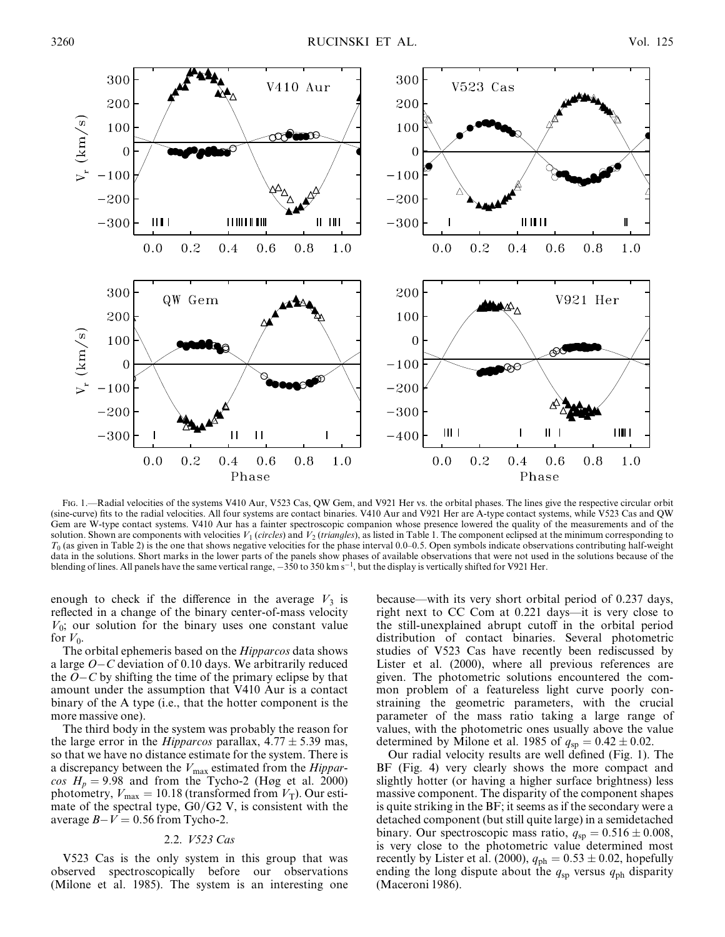

Fig. 1.—Radial velocities of the systems V410 Aur, V523 Cas, QW Gem, and V921 Her vs. the orbital phases. The lines give the respective circular orbit (sine-curve) fits to the radial velocities. All four systems are contact binaries. V410 Aur and V921 Her are A-type contact systems, while V523 Cas and QW Gem are W-type contact systems. V410 Aur has a fainter spectroscopic companion whose presence lowered the quality of the measurements and of the solution. Shown are components with velocities  $V_1$  (circles) and  $V_2$  (triangles), as listed in Table 1. The component eclipsed at the minimum corresponding to  $T_0$  (as given in Table 2) is the one that shows negative velocities for the phase interval 0.0–0.5. Open symbols indicate observations contributing half-weight data in the solutions. Short marks in the lower parts of the panels show phases of available observations that were not used in the solutions because of the blending of lines. All panels have the same vertical range,  $-350$  to 350 km s<sup>-1</sup>, but the display is vertically shifted for V921 Her.

enough to check if the difference in the average  $V_3$  is reflected in a change of the binary center-of-mass velocity  $V_0$ ; our solution for the binary uses one constant value for  $V_0$ .

The orbital ephemeris based on the *Hipparcos* data shows a large  $O - C$  deviation of 0.10 days. We arbitrarily reduced the  $O-C$  by shifting the time of the primary eclipse by that amount under the assumption that V410 Aur is a contact binary of the A type (i.e., that the hotter component is the more massive one).

The third body in the system was probably the reason for the large error in the *Hipparcos* parallax,  $4.77 \pm 5.39$  mas, so that we have no distance estimate for the system. There is a discrepancy between the  $V_{\text{max}}$  estimated from the *Hippar* $cos H_p = 9.98$  and from the Tycho-2 (Høg et al. 2000) photometry,  $V_{\text{max}} = 10.18$  (transformed from  $V_{\text{T}}$ ). Our estimate of the spectral type,  $G0/G2$  V, is consistent with the average  $B-V = 0.56$  from Tycho-2.

## 2.2. V523 Cas

V523 Cas is the only system in this group that was observed spectroscopically before our observations (Milone et al. 1985). The system is an interesting one because—with its very short orbital period of 0.237 days, right next to CC Com at 0.221 days—it is very close to the still-unexplained abrupt cutoff in the orbital period distribution of contact binaries. Several photometric studies of V523 Cas have recently been rediscussed by Lister et al. (2000), where all previous references are given. The photometric solutions encountered the common problem of a featureless light curve poorly constraining the geometric parameters, with the crucial parameter of the mass ratio taking a large range of values, with the photometric ones usually above the value determined by Milone et al. 1985 of  $q_{sp} = 0.42 \pm 0.02$ .

Our radial velocity results are well defined (Fig. 1). The BF (Fig. 4) very clearly shows the more compact and slightly hotter (or having a higher surface brightness) less massive component. The disparity of the component shapes is quite striking in the BF; it seems as if the secondary were a detached component (but still quite large) in a semidetached binary. Our spectroscopic mass ratio,  $q_{sp} = 0.516 \pm 0.008$ , is very close to the photometric value determined most recently by Lister et al. (2000),  $q_{ph} = 0.53 \pm 0.02$ , hopefully ending the long dispute about the  $q_{sp}$  versus  $q_{ph}$  disparity (Maceroni 1986).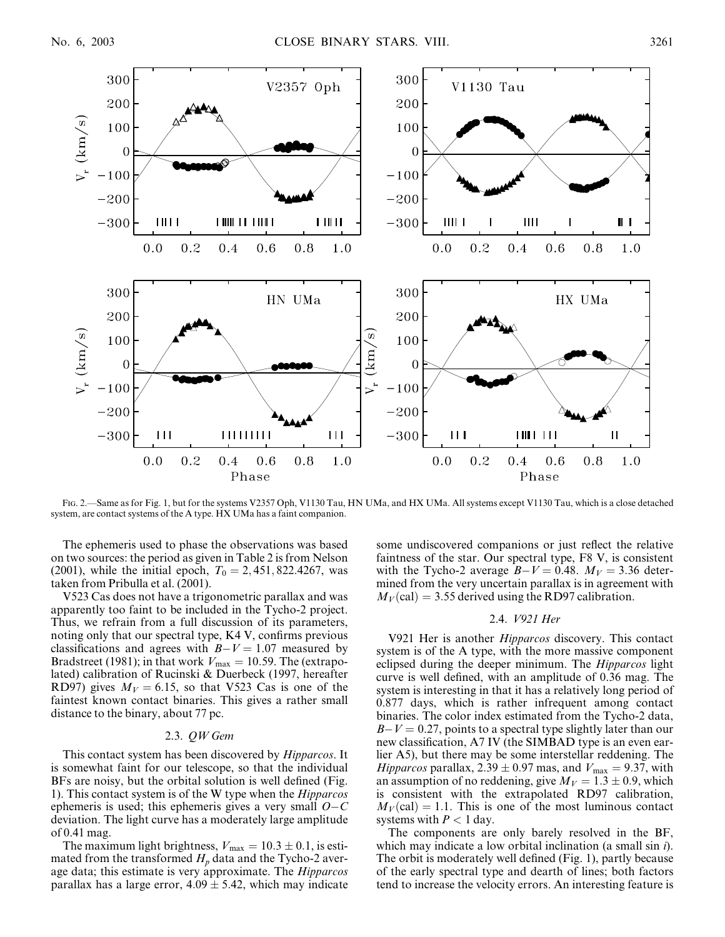

Fig. 2.—Same as for Fig. 1, but for the systems V2357 Oph, V1130 Tau, HN UMa, and HX UMa. All systems except V1130 Tau, which is a close detached system, are contact systems of the A type. HX UMa has a faint companion.

The ephemeris used to phase the observations was based on two sources: the period as given in Table 2 is from Nelson (2001), while the initial epoch,  $T_0 = 2,451,822.4267$ , was taken from Pribulla et al. (2001).

V523 Cas does not have a trigonometric parallax and was apparently too faint to be included in the Tycho-2 project. Thus, we refrain from a full discussion of its parameters, noting only that our spectral type, K4 V, confirms previous classifications and agrees with  $B-V = 1.07$  measured by Bradstreet (1981); in that work  $V_{\text{max}} = 10.59$ . The (extrapolated) calibration of Rucinski & Duerbeck (1997, hereafter RD97) gives  $M_V = 6.15$ , so that V523 Cas is one of the faintest known contact binaries. This gives a rather small distance to the binary, about 77 pc.

# 2.3. QW Gem

This contact system has been discovered by *Hipparcos*. It is somewhat faint for our telescope, so that the individual BFs are noisy, but the orbital solution is well defined (Fig. 1). This contact system is of the W type when the Hipparcos ephemeris is used; this ephemeris gives a very small  $O - C$ deviation. The light curve has a moderately large amplitude of 0.41 mag.

The maximum light brightness,  $V_{\text{max}} = 10.3 \pm 0.1$ , is estimated from the transformed  $H_p$  data and the Tycho-2 average data; this estimate is very approximate. The *Hipparcos* parallax has a large error,  $4.09 \pm 5.42$ , which may indicate some undiscovered companions or just reflect the relative faintness of the star. Our spectral type, F8 V, is consistent with the Tycho-2 average  $B-V = 0.48$ .  $M_V = 3.36$  determined from the very uncertain parallax is in agreement with  $M_V$ (cal) = 3.55 derived using the RD97 calibration.

#### 2.4. V921 Her

V921 Her is another Hipparcos discovery. This contact system is of the A type, with the more massive component eclipsed during the deeper minimum. The Hipparcos light curve is well defined, with an amplitude of 0.36 mag. The system is interesting in that it has a relatively long period of 0.877 days, which is rather infrequent among contact binaries. The color index estimated from the Tycho-2 data,  $B-V = 0.27$ , points to a spectral type slightly later than our new classification, A7 IV (the SIMBAD type is an even earlier A5), but there may be some interstellar reddening. The *Hipparcos* parallax, 2.39  $\pm$  0.97 mas, and  $V_{\text{max}} = 9.37$ , with an assumption of no reddening, give  $M_V = 1.3 \pm 0.9$ , which is consistent with the extrapolated RD97 calibration,  $M_V$ (cal) = 1.1. This is one of the most luminous contact systems with  $P < 1$  day.

The components are only barely resolved in the BF, which may indicate a low orbital inclination (a small sin *i*). The orbit is moderately well defined (Fig. 1), partly because of the early spectral type and dearth of lines; both factors tend to increase the velocity errors. An interesting feature is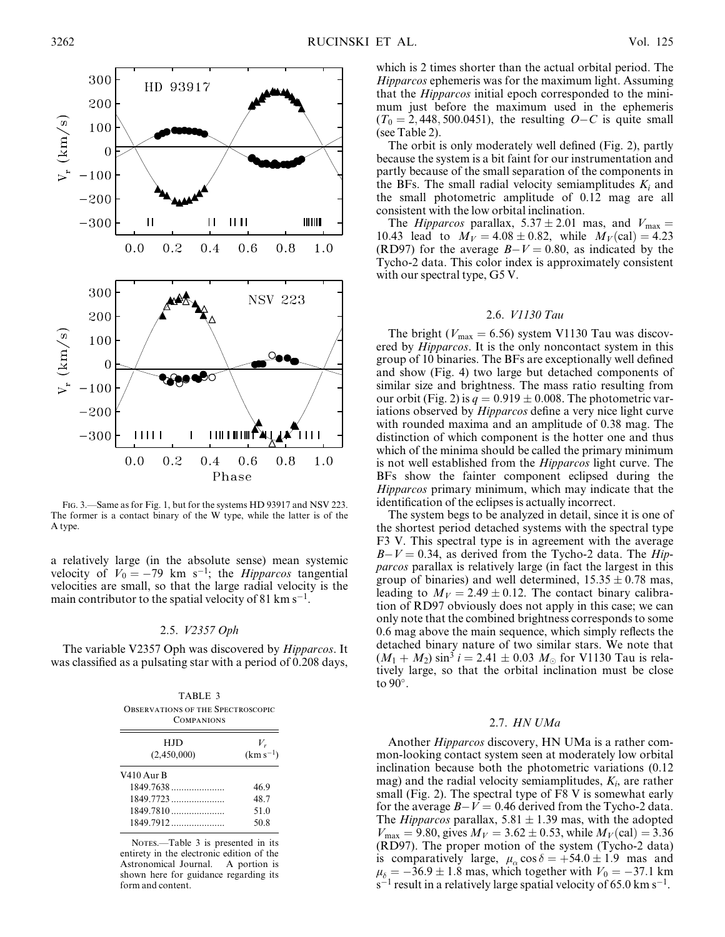

FIG. 3.—Same as for Fig. 1, but for the systems HD 93917 and NSV 223. The former is a contact binary of the W type, while the latter is of the A type.

a relatively large (in the absolute sense) mean systemic velocity of  $V_0 = -79$  km s<sup>-1</sup>; the *Hipparcos* tangential velocities are small, so that the large radial velocity is the main contributor to the spatial velocity of 81 km  $s^{-1}$ .

#### 2.5. V2357 Oph

The variable V2357 Oph was discovered by Hipparcos. It was classified as a pulsating star with a period of 0.208 days,

| TABLE 3<br><b>OBSERVATIONS OF THE SPECTROSCOPIC</b><br><b>COMPANIONS</b> |                        |  |  |  |  |
|--------------------------------------------------------------------------|------------------------|--|--|--|--|
| <b>HJD</b><br>(2,450,000)                                                | $V_r$<br>$(km s^{-1})$ |  |  |  |  |
| $V410$ Aur B                                                             |                        |  |  |  |  |
| 1849.7638                                                                | 46.9                   |  |  |  |  |
|                                                                          | 48.7                   |  |  |  |  |
| 1849.7810                                                                | 51.0                   |  |  |  |  |
| 1849.7912                                                                | 50.8                   |  |  |  |  |

NOTES—Table 3 is presented in its entirety in the electronic edition of the Astronomical Journal. A portion is shown here for guidance regarding its form and content.

which is 2 times shorter than the actual orbital period. The Hipparcos ephemeris was for the maximum light. Assuming that the Hipparcos initial epoch corresponded to the minimum just before the maximum used in the ephemeris  $(T_0 = 2, 448, 500.0451)$ , the resulting  $O - C$  is quite small (see Table 2).

The orbit is only moderately well defined (Fig. 2), partly because the system is a bit faint for our instrumentation and partly because of the small separation of the components in the BFs. The small radial velocity semiamplitudes  $K_i$  and the small photometric amplitude of 0.12 mag are all consistent with the low orbital inclination.

The *Hipparcos* parallax,  $5.37 \pm 2.01$  mas, and  $V_{\text{max}} =$ 10.43 lead to  $M_V = 4.08 \pm 0.82$ , while  $M_V$  (cal) = 4.23 (RD97) for the average  $B-V = 0.80$ , as indicated by the Tycho-2 data. This color index is approximately consistent with our spectral type, G5 V.

### 2.6. V1130 Tau

The bright ( $V_{\text{max}} = 6.56$ ) system V1130 Tau was discovered by *Hipparcos*. It is the only noncontact system in this group of 10 binaries. The BFs are exceptionally well defined and show (Fig. 4) two large but detached components of similar size and brightness. The mass ratio resulting from our orbit (Fig. 2) is  $q = 0.919 \pm 0.008$ . The photometric variations observed by *Hipparcos* define a very nice light curve with rounded maxima and an amplitude of 0.38 mag. The distinction of which component is the hotter one and thus which of the minima should be called the primary minimum is not well established from the Hipparcos light curve. The BFs show the fainter component eclipsed during the Hipparcos primary minimum, which may indicate that the identification of the eclipses is actually incorrect.

The system begs to be analyzed in detail, since it is one of the shortest period detached systems with the spectral type F3 V. This spectral type is in agreement with the average  $B-V = 0.34$ , as derived from the Tycho-2 data. The Hipparcos parallax is relatively large (in fact the largest in this group of binaries) and well determined,  $15.35 \pm 0.78$  mas, leading to  $M_V = 2.49 \pm 0.12$ . The contact binary calibration of RD97 obviously does not apply in this case; we can only note that the combined brightness corresponds to some 0.6 mag above the main sequence, which simply reflects the detached binary nature of two similar stars. We note that  $(M_1 + M_2) \sin^3 i = 2.41 \pm 0.03$   $M_{\odot}$  for V1130 Tau is relatively large, so that the orbital inclination must be close to  $90^\circ$ .

## 2.7. HN UMa

Another Hipparcos discovery, HN UMa is a rather common-looking contact system seen at moderately low orbital inclination because both the photometric variations (0.12 mag) and the radial velocity semiamplitudes,  $K_i$ , are rather small (Fig. 2). The spectral type of F8 V is somewhat early for the average  $B-V = 0.46$  derived from the Tycho-2 data. The *Hipparcos* parallax, 5.81  $\pm$  1.39 mas, with the adopted  $V_{\text{max}} = 9.80$ , gives  $M_V = 3.62 \pm 0.53$ , while  $M_V(\text{cal}) = 3.36$ (RD97). The proper motion of the system (Tycho-2 data) is comparatively large,  $\mu_{\alpha} \cos \delta = +54.0 \pm 1.9$  mas and  $\mu_{\delta} = -36.9 \pm 1.8$  mas, which together with  $V_0 = -37.1$  km  $s^{-1}$  result in a relatively large spatial velocity of 65.0 km s<sup>-1</sup>.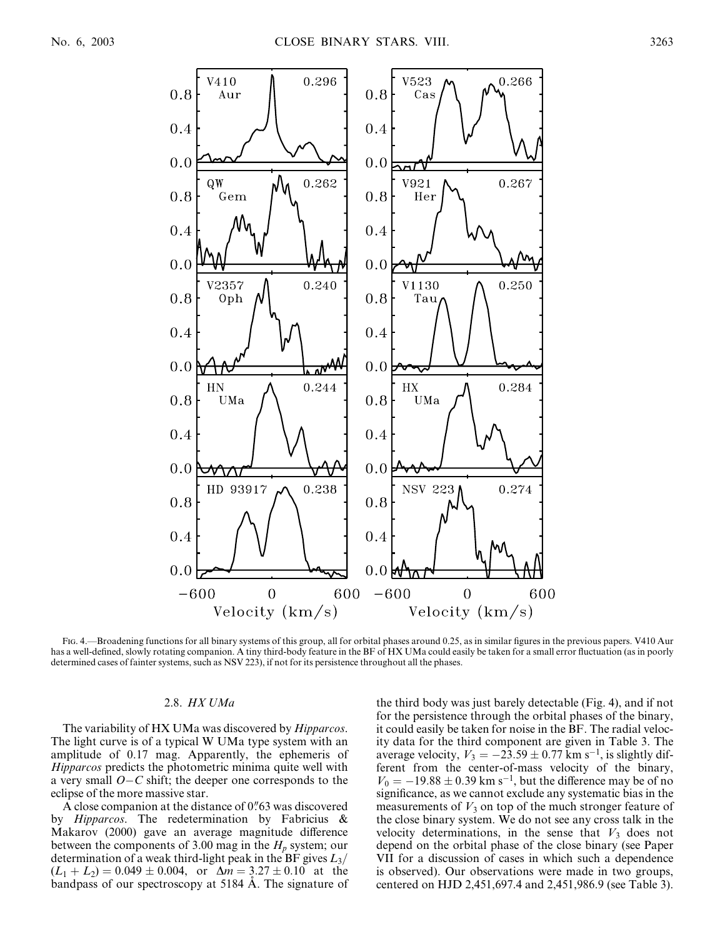

Fig. 4.—Broadening functions for all binary systems of this group, all for orbital phases around 0.25, as in similar figures in the previous papers. V410 Aur has a well-defined, slowly rotating companion. A tiny third-body feature in the BF of HX UMa could easily be taken for a small error fluctuation (as in poorly determined cases of fainter systems, such as NSV 223), if not for its persistence throughout all the phases.

# 2.8. HX UMa

The variability of HX UMa was discovered by *Hipparcos*. The light curve is of a typical W UMa type system with an amplitude of 0.17 mag. Apparently, the ephemeris of Hipparcos predicts the photometric minima quite well with a very small  $O-C$  shift; the deeper one corresponds to the eclipse of the more massive star.

A close companion at the distance of  $0$ ".63 was discovered by Hipparcos. The redetermination by Fabricius & Makarov (2000) gave an average magnitude difference between the components of 3.00 mag in the  $H_p$  system; our determination of a weak third-light peak in the BF gives  $L_3/$  $(L_1 + L_2) = 0.049 \pm 0.004$ , or  $\Delta m = 3.27 \pm 0.10$  at the bandpass of our spectroscopy at 5184 Å. The signature of

the third body was just barely detectable (Fig. 4), and if not for the persistence through the orbital phases of the binary, it could easily be taken for noise in the BF. The radial velocity data for the third component are given in Table 3. The average velocity,  $V_3 = -23.59 \pm 0.77$  km s<sup>-1</sup>, is slightly different from the center-of-mass velocity of the binary,  $V_0 = -19.88 \pm 0.39$  km s<sup>-1</sup>, but the difference may be of no significance, as we cannot exclude any systematic bias in the measurements of  $V_3$  on top of the much stronger feature of the close binary system. We do not see any cross talk in the velocity determinations, in the sense that  $V_3$  does not depend on the orbital phase of the close binary (see Paper VII for a discussion of cases in which such a dependence is observed). Our observations were made in two groups, centered on HJD 2,451,697.4 and 2,451,986.9 (see Table 3).